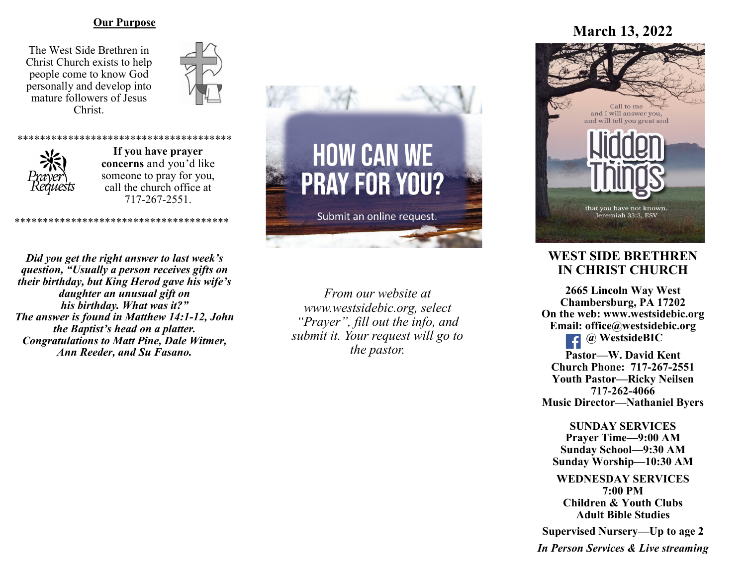### **Our Purpose**

The West Side Brethren in Christ Church exists to help people come to know God personally and develop into mature followers of Jesus Christ.





**If you have prayer concerns** and you'd like someone to pray for you, call the church office at 717-267-2551.

\*\*\*\*\*\*\*\*\*\*\*\*\*\*\*\*\*\*\*\*\*\*\*\*\*\*\*\*\*\*\*\*\*\*\*\*\*\*

\*\*\*\*\*\*\*\*\*\*\*\*\*\*\*\*\*\*\*\*\*\*\*\*\*\*\*\*\*\*\*\*\*\*\*\*\*\*

*Did you get the right answer to last week's question, "Usually a person receives gifts on their birthday, but King Herod gave his wife's daughter an unusual gift on his birthday. What was it?" The answer is found in Matthew 14:1-12, John the Baptist's head on a platter. Congratulations to Matt Pine, Dale Witmer, Ann Reeder, and Su Fasano.*



*From our website at www.westsidebic.org, select "Prayer", fill out the info, and submit it. Your request will go to the pastor.*

# **March 13, 2022**



# **WEST SIDE BRETHREN IN CHRIST CHURCH**

**2665 Lincoln Way West Chambersburg, PA 17202 On the web: [www.westsidebic.org](http://www.westsidebic.org) Email: office@westsidebic.org @ WestsideBIC Pastor—W. David Kent**

**Church Phone: 717-267-2551 Youth Pastor—Ricky Neilsen 717-262-4066 Music Director—Nathaniel Byers**

**SUNDAY SERVICES Prayer Time—9:00 AM Sunday School—9:30 AM Sunday Worship—10:30 AM**

**WEDNESDAY SERVICES 7:00 PM Children & Youth Clubs Adult Bible Studies**

**Supervised Nursery—Up to age 2**

*In Person Services & Live streaming*